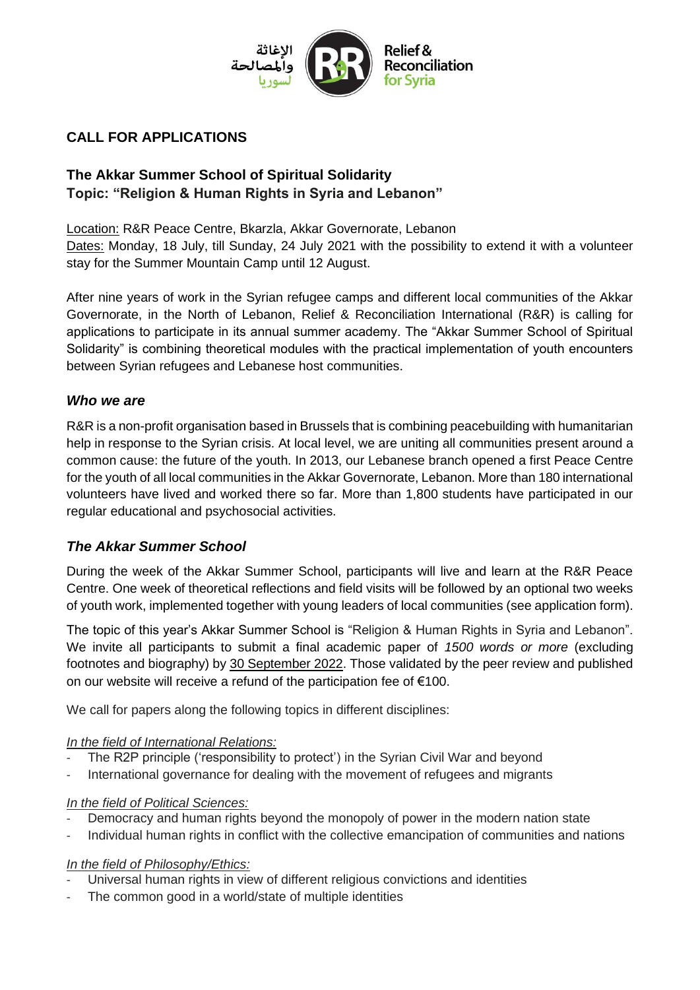

## **CALL FOR APPLICATIONS**

# **The Akkar Summer School of Spiritual Solidarity Topic: "Religion & Human Rights in Syria and Lebanon"**

Location: R&R Peace Centre, Bkarzla, Akkar Governorate, Lebanon Dates: Monday, 18 July, till Sunday, 24 July 2021 with the possibility to extend it with a volunteer stay for the Summer Mountain Camp until 12 August.

After nine years of work in the Syrian refugee camps and different local communities of the Akkar Governorate, in the North of Lebanon, Relief & Reconciliation International (R&R) is calling for applications to participate in its annual summer academy. The "Akkar Summer School of Spiritual Solidarity" is combining theoretical modules with the practical implementation of youth encounters between Syrian refugees and Lebanese host communities.

### *Who we are*

R&R is a non-profit organisation based in Brussels that is combining peacebuilding with humanitarian help in response to the Syrian crisis. At local level, we are uniting all communities present around a common cause: the future of the youth. In 2013, our Lebanese branch opened a first Peace Centre for the youth of all local communities in the Akkar Governorate, Lebanon. More than 180 international volunteers have lived and worked there so far. More than 1,800 students have participated in our regular educational and psychosocial activities.

## *The Akkar Summer School*

During the week of the Akkar Summer School, participants will live and learn at the R&R Peace Centre. One week of theoretical reflections and field visits will be followed by an optional two weeks of youth work, implemented together with young leaders of local communities (see application form).

The topic of this year's Akkar Summer School is "Religion & Human Rights in Syria and Lebanon". We invite all participants to submit a final academic paper of *1500 words or more* (excluding footnotes and biography) by 30 September 2022. Those validated by the peer review and published on our website will receive a refund of the participation fee of €100.

We call for papers along the following topics in different disciplines:

*In the field of International Relations:*

- The R2P principle ('responsibility to protect') in the Syrian Civil War and beyond
- International governance for dealing with the movement of refugees and migrants

#### *In the field of Political Sciences:*

- Democracy and human rights beyond the monopoly of power in the modern nation state
- Individual human rights in conflict with the collective emancipation of communities and nations

*In the field of Philosophy/Ethics:*

- Universal human rights in view of different religious convictions and identities
- The common good in a world/state of multiple identities